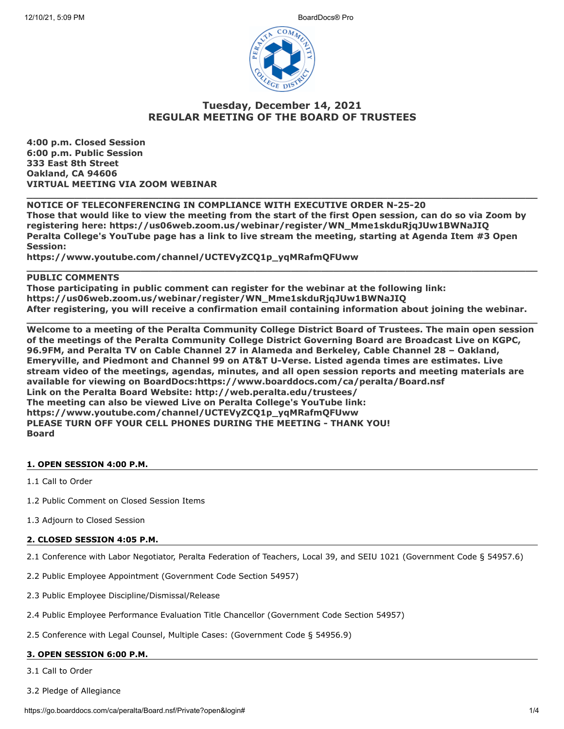

# **Tuesday, December 14, 2021 REGULAR MEETING OF THE BOARD OF TRUSTEES**

**4:00 p.m. Closed Session 6:00 p.m. Public Session 333 East 8th Street Oakland, CA 94606 VIRTUAL MEETING VIA ZOOM WEBINAR**

## **NOTICE OF TELECONFERENCING IN COMPLIANCE WITH EXECUTIVE ORDER N-25-20 Those that would like to view the meeting from the start of the first Open session, can do so via Zoom by registering here: https://us06web.zoom.us/webinar/register/WN\_Mme1skduRjqJUw1BWNaJIQ Peralta College's YouTube page has a link to live stream the meeting, starting at Agenda Item #3 Open Session:**

**\_\_\_\_\_\_\_\_\_\_\_\_\_\_\_\_\_\_\_\_\_\_\_\_\_\_\_\_\_\_\_\_\_\_\_\_\_\_\_\_\_\_\_\_\_\_\_\_\_\_\_\_\_\_\_\_\_\_\_\_\_\_\_\_\_\_\_\_\_\_\_\_\_\_\_\_\_\_\_\_\_\_\_\_\_**

**https://www.youtube.com/channel/UCTEVyZCQ1p\_yqMRafmQFUww**

## **PUBLIC COMMENTS**

**Those participating in public comment can register for the webinar at the following link: https://us06web.zoom.us/webinar/register/WN\_Mme1skduRjqJUw1BWNaJIQ After registering, you will receive a confirmation email containing information about joining the webinar.**

**\_\_\_\_\_\_\_\_\_\_\_\_\_\_\_\_\_\_\_\_\_\_\_\_\_\_\_\_\_\_\_\_\_\_\_\_\_\_\_\_\_\_\_\_\_\_\_\_\_\_\_\_\_\_\_\_\_\_\_\_\_\_\_\_\_\_\_\_\_\_\_\_\_\_\_\_\_\_\_\_\_\_\_\_\_**

**\_\_\_\_\_\_\_\_\_\_\_\_\_\_\_\_\_\_\_\_\_\_\_\_\_\_\_\_\_\_\_\_\_\_\_\_\_\_\_\_\_\_\_\_\_\_\_\_\_\_\_\_\_\_\_\_\_\_\_\_\_\_\_\_\_\_\_\_\_\_\_\_\_\_\_\_\_\_\_\_\_\_\_\_\_**

**Welcome to a meeting of the Peralta Community College District Board of Trustees. The main open session of the meetings of the Peralta Community College District Governing Board are Broadcast Live on KGPC, 96.9FM, and Peralta TV on Cable Channel 27 in Alameda and Berkeley, Cable Channel 28 – Oakland, Emeryville, and Piedmont and Channel 99 on AT&T U-Verse. Listed agenda times are estimates. Live stream video of the meetings, agendas, minutes, and all open session reports and meeting materials are available for viewing on BoardDocs:https://www.boarddocs.com/ca/peralta/Board.nsf Link on the Peralta Board Website: http://web.peralta.edu/trustees/ The meeting can also be viewed Live on Peralta College's YouTube link: https://www.youtube.com/channel/UCTEVyZCQ1p\_yqMRafmQFUww PLEASE TURN OFF YOUR CELL PHONES DURING THE MEETING - THANK YOU! Board**

## **1. OPEN SESSION 4:00 P.M.**

1.1 Call to Order

- 1.2 Public Comment on Closed Session Items
- 1.3 Adjourn to Closed Session

#### **2. CLOSED SESSION 4:05 P.M.**

- 2.1 Conference with Labor Negotiator, Peralta Federation of Teachers, Local 39, and SEIU 1021 (Government Code § 54957.6)
- 2.2 Public Employee Appointment (Government Code Section 54957)
- 2.3 Public Employee Discipline/Dismissal/Release
- 2.4 Public Employee Performance Evaluation Title Chancellor (Government Code Section 54957)
- 2.5 Conference with Legal Counsel, Multiple Cases: (Government Code § 54956.9)

## **3. OPEN SESSION 6:00 P.M.**

3.1 Call to Order

3.2 Pledge of Allegiance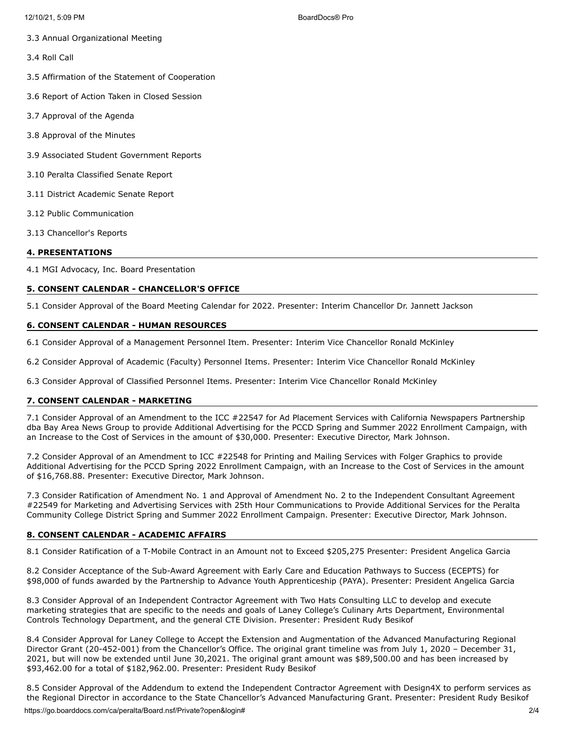- 3.3 Annual Organizational Meeting
- 3.4 Roll Call
- 3.5 Affirmation of the Statement of Cooperation
- 3.6 Report of Action Taken in Closed Session
- 3.7 Approval of the Agenda
- 3.8 Approval of the Minutes
- 3.9 Associated Student Government Reports
- 3.10 Peralta Classified Senate Report
- 3.11 District Academic Senate Report
- 3.12 Public Communication
- 3.13 Chancellor's Reports

## **4. PRESENTATIONS**

4.1 MGI Advocacy, Inc. Board Presentation

## **5. CONSENT CALENDAR - CHANCELLOR'S OFFICE**

5.1 Consider Approval of the Board Meeting Calendar for 2022. Presenter: Interim Chancellor Dr. Jannett Jackson

## **6. CONSENT CALENDAR - HUMAN RESOURCES**

6.1 Consider Approval of a Management Personnel Item. Presenter: Interim Vice Chancellor Ronald McKinley

6.2 Consider Approval of Academic (Faculty) Personnel Items. Presenter: Interim Vice Chancellor Ronald McKinley

6.3 Consider Approval of Classified Personnel Items. Presenter: Interim Vice Chancellor Ronald McKinley

## **7. CONSENT CALENDAR - MARKETING**

7.1 Consider Approval of an Amendment to the ICC #22547 for Ad Placement Services with California Newspapers Partnership dba Bay Area News Group to provide Additional Advertising for the PCCD Spring and Summer 2022 Enrollment Campaign, with an Increase to the Cost of Services in the amount of \$30,000. Presenter: Executive Director, Mark Johnson.

7.2 Consider Approval of an Amendment to ICC #22548 for Printing and Mailing Services with Folger Graphics to provide Additional Advertising for the PCCD Spring 2022 Enrollment Campaign, with an Increase to the Cost of Services in the amount of \$16,768.88. Presenter: Executive Director, Mark Johnson.

7.3 Consider Ratification of Amendment No. 1 and Approval of Amendment No. 2 to the Independent Consultant Agreement #22549 for Marketing and Advertising Services with 25th Hour Communications to Provide Additional Services for the Peralta Community College District Spring and Summer 2022 Enrollment Campaign. Presenter: Executive Director, Mark Johnson.

## **8. CONSENT CALENDAR - ACADEMIC AFFAIRS**

8.1 Consider Ratification of a T-Mobile Contract in an Amount not to Exceed \$205,275 Presenter: President Angelica Garcia

8.2 Consider Acceptance of the Sub-Award Agreement with Early Care and Education Pathways to Success (ECEPTS) for \$98,000 of funds awarded by the Partnership to Advance Youth Apprenticeship (PAYA). Presenter: President Angelica Garcia

8.3 Consider Approval of an Independent Contractor Agreement with Two Hats Consulting LLC to develop and execute marketing strategies that are specific to the needs and goals of Laney College's Culinary Arts Department, Environmental Controls Technology Department, and the general CTE Division. Presenter: President Rudy Besikof

8.4 Consider Approval for Laney College to Accept the Extension and Augmentation of the Advanced Manufacturing Regional Director Grant (20-452-001) from the Chancellor's Office. The original grant timeline was from July 1, 2020 – December 31, 2021, but will now be extended until June 30,2021. The original grant amount was \$89,500.00 and has been increased by \$93,462.00 for a total of \$182,962.00. Presenter: President Rudy Besikof

8.5 Consider Approval of the Addendum to extend the Independent Contractor Agreement with Design4X to perform services as the Regional Director in accordance to the State Chancellor's Advanced Manufacturing Grant. Presenter: President Rudy Besikof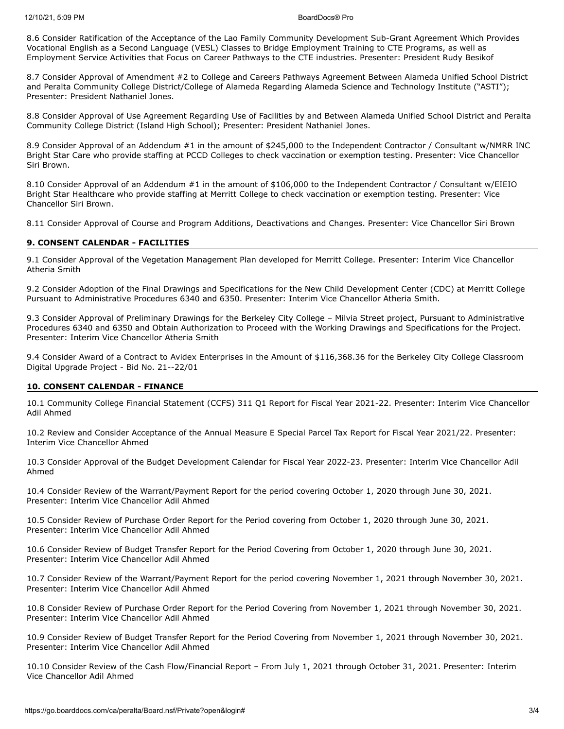8.6 Consider Ratification of the Acceptance of the Lao Family Community Development Sub-Grant Agreement Which Provides Vocational English as a Second Language (VESL) Classes to Bridge Employment Training to CTE Programs, as well as Employment Service Activities that Focus on Career Pathways to the CTE industries. Presenter: President Rudy Besikof

8.7 Consider Approval of Amendment #2 to College and Careers Pathways Agreement Between Alameda Unified School District and Peralta Community College District/College of Alameda Regarding Alameda Science and Technology Institute ("ASTI"); Presenter: President Nathaniel Jones.

8.8 Consider Approval of Use Agreement Regarding Use of Facilities by and Between Alameda Unified School District and Peralta Community College District (Island High School); Presenter: President Nathaniel Jones.

8.9 Consider Approval of an Addendum #1 in the amount of \$245,000 to the Independent Contractor / Consultant w/NMRR INC Bright Star Care who provide staffing at PCCD Colleges to check vaccination or exemption testing. Presenter: Vice Chancellor Siri Brown.

8.10 Consider Approval of an Addendum #1 in the amount of \$106,000 to the Independent Contractor / Consultant w/EIEIO Bright Star Healthcare who provide staffing at Merritt College to check vaccination or exemption testing. Presenter: Vice Chancellor Siri Brown.

8.11 Consider Approval of Course and Program Additions, Deactivations and Changes. Presenter: Vice Chancellor Siri Brown

#### **9. CONSENT CALENDAR - FACILITIES**

9.1 Consider Approval of the Vegetation Management Plan developed for Merritt College. Presenter: Interim Vice Chancellor Atheria Smith

9.2 Consider Adoption of the Final Drawings and Specifications for the New Child Development Center (CDC) at Merritt College Pursuant to Administrative Procedures 6340 and 6350. Presenter: Interim Vice Chancellor Atheria Smith.

9.3 Consider Approval of Preliminary Drawings for the Berkeley City College – Milvia Street project, Pursuant to Administrative Procedures 6340 and 6350 and Obtain Authorization to Proceed with the Working Drawings and Specifications for the Project. Presenter: Interim Vice Chancellor Atheria Smith

9.4 Consider Award of a Contract to Avidex Enterprises in the Amount of \$116,368.36 for the Berkeley City College Classroom Digital Upgrade Project - Bid No. 21--22/01

#### **10. CONSENT CALENDAR - FINANCE**

10.1 Community College Financial Statement (CCFS) 311 Q1 Report for Fiscal Year 2021-22. Presenter: Interim Vice Chancellor Adil Ahmed

10.2 Review and Consider Acceptance of the Annual Measure E Special Parcel Tax Report for Fiscal Year 2021/22. Presenter: Interim Vice Chancellor Ahmed

10.3 Consider Approval of the Budget Development Calendar for Fiscal Year 2022-23. Presenter: Interim Vice Chancellor Adil Ahmed

10.4 Consider Review of the Warrant/Payment Report for the period covering October 1, 2020 through June 30, 2021. Presenter: Interim Vice Chancellor Adil Ahmed

10.5 Consider Review of Purchase Order Report for the Period covering from October 1, 2020 through June 30, 2021. Presenter: Interim Vice Chancellor Adil Ahmed

10.6 Consider Review of Budget Transfer Report for the Period Covering from October 1, 2020 through June 30, 2021. Presenter: Interim Vice Chancellor Adil Ahmed

10.7 Consider Review of the Warrant/Payment Report for the period covering November 1, 2021 through November 30, 2021. Presenter: Interim Vice Chancellor Adil Ahmed

10.8 Consider Review of Purchase Order Report for the Period Covering from November 1, 2021 through November 30, 2021. Presenter: Interim Vice Chancellor Adil Ahmed

10.9 Consider Review of Budget Transfer Report for the Period Covering from November 1, 2021 through November 30, 2021. Presenter: Interim Vice Chancellor Adil Ahmed

10.10 Consider Review of the Cash Flow/Financial Report – From July 1, 2021 through October 31, 2021. Presenter: Interim Vice Chancellor Adil Ahmed